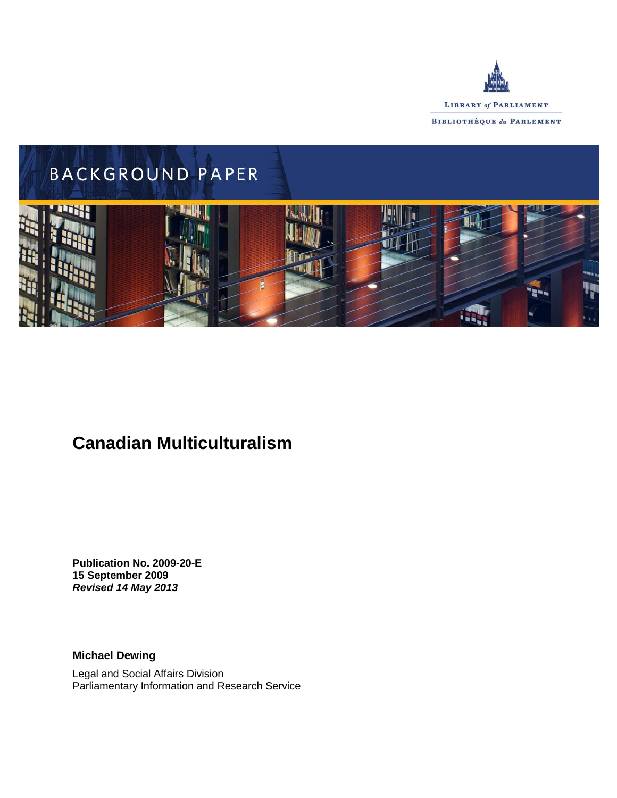



# **Canadian Multiculturalism**

**Publication No. 2009-20-E 15 September 2009** *Revised 14 May 2013*

**Michael Dewing**

Legal and Social Affairs Division Parliamentary Information and Research Service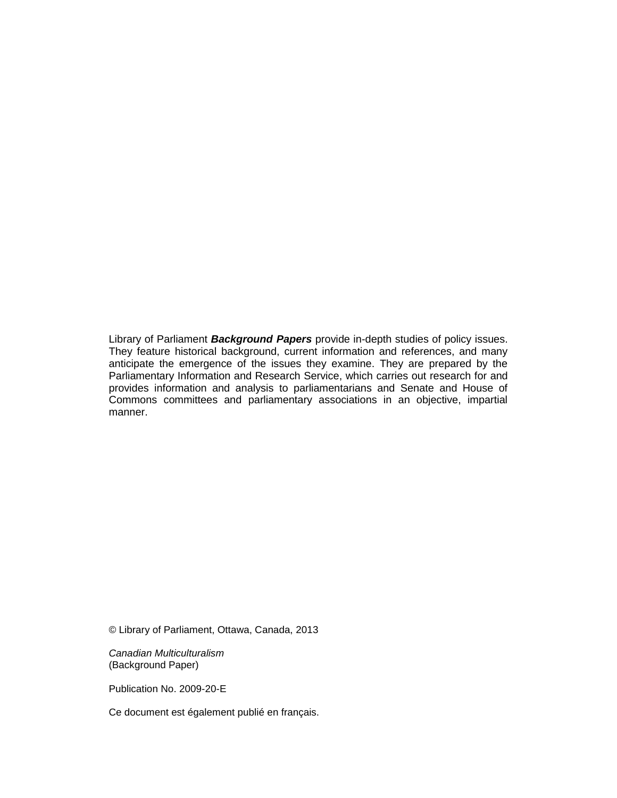Library of Parliament *Background Papers* provide in-depth studies of policy issues. They feature historical background, current information and references, and many anticipate the emergence of the issues they examine. They are prepared by the Parliamentary Information and Research Service, which carries out research for and provides information and analysis to parliamentarians and Senate and House of Commons committees and parliamentary associations in an objective, impartial manner.

© Library of Parliament, Ottawa, Canada, 2013

*Canadian Multiculturalism* (Background Paper)

Publication No. 2009-20-E

Ce document est également publié en français.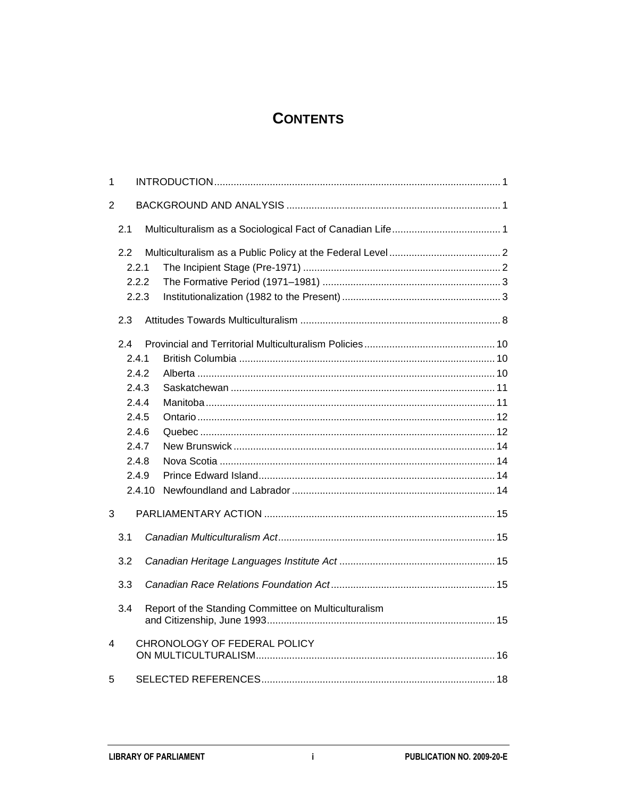### **CONTENTS**

| 1     |        |                                                      |  |
|-------|--------|------------------------------------------------------|--|
| 2     |        |                                                      |  |
|       | 2.1    |                                                      |  |
|       | 2.2    |                                                      |  |
| 2.2.1 |        |                                                      |  |
|       | 2.2.2  |                                                      |  |
|       | 2.2.3  |                                                      |  |
|       | 2.3    |                                                      |  |
|       | 2.4    |                                                      |  |
|       | 2.4.1  |                                                      |  |
|       | 2.4.2  |                                                      |  |
|       | 2.4.3  |                                                      |  |
|       | 2.4.4  |                                                      |  |
|       | 2.4.5  |                                                      |  |
|       | 2.4.6  |                                                      |  |
|       | 2.4.7  |                                                      |  |
|       | 2.4.8  |                                                      |  |
|       | 2.4.9  |                                                      |  |
|       | 2.4.10 |                                                      |  |
| 3     |        |                                                      |  |
|       | 3.1    |                                                      |  |
|       | 3.2    |                                                      |  |
|       | 3.3    |                                                      |  |
|       | 3.4    | Report of the Standing Committee on Multiculturalism |  |
| 4     |        | CHRONOLOGY OF FEDERAL POLICY                         |  |
| 5     |        |                                                      |  |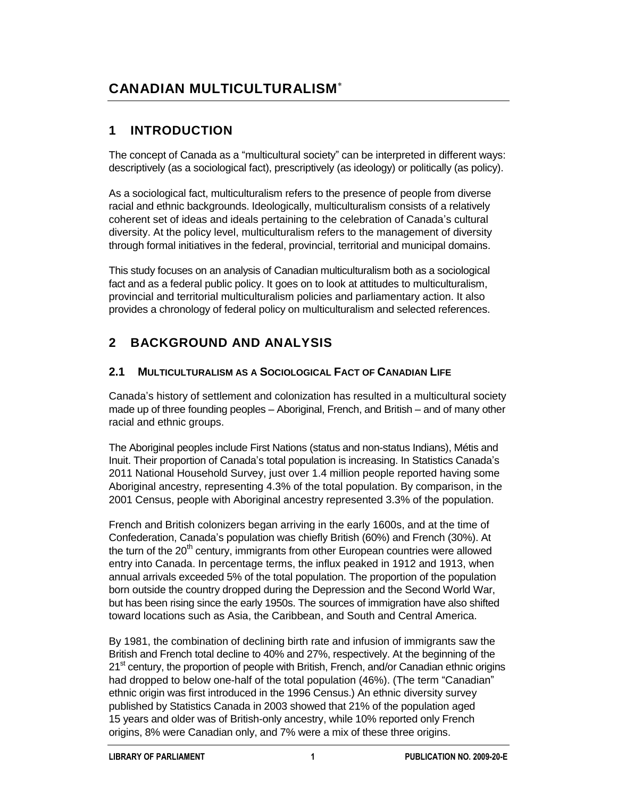## **CANADIAN MULTICULTURALISM**

### **1 INTRODUCTION**

The concept of Canada as a "multicultural society" can be interpreted in different ways: descriptively (as a sociological fact), prescriptively (as ideology) or politically (as policy).

As a sociological fact, multiculturalism refers to the presence of people from diverse racial and ethnic backgrounds. Ideologically, multiculturalism consists of a relatively coherent set of ideas and ideals pertaining to the celebration of Canada's cultural diversity. At the policy level, multiculturalism refers to the management of diversity through formal initiatives in the federal, provincial, territorial and municipal domains.

This study focuses on an analysis of Canadian multiculturalism both as a sociological fact and as a federal public policy. It goes on to look at attitudes to multiculturalism, provincial and territorial multiculturalism policies and parliamentary action. It also provides a chronology of federal policy on multiculturalism and selected references.

## **2 BACKGROUND AND ANALYSIS**

#### **2.1 MULTICULTURALISM AS A SOCIOLOGICAL FACT OF CANADIAN LIFE**

Canada's history of settlement and colonization has resulted in a multicultural society made up of three founding peoples – Aboriginal, French, and British – and of many other racial and ethnic groups.

The Aboriginal peoples include First Nations (status and non-status Indians), Métis and Inuit. Their proportion of Canada's total population is increasing. In Statistics Canada's 2011 National Household Survey, just over 1.4 million people reported having some Aboriginal ancestry, representing 4.3% of the total population. By comparison, in the 2001 Census, people with Aboriginal ancestry represented 3.3% of the population.

French and British colonizers began arriving in the early 1600s, and at the time of Confederation, Canada's population was chiefly British (60%) and French (30%). At the turn of the  $20<sup>th</sup>$  century, immigrants from other European countries were allowed entry into Canada. In percentage terms, the influx peaked in 1912 and 1913, when annual arrivals exceeded 5% of the total population. The proportion of the population born outside the country dropped during the Depression and the Second World War, but has been rising since the early 1950s. The sources of immigration have also shifted toward locations such as Asia, the Caribbean, and South and Central America.

By 1981, the combination of declining birth rate and infusion of immigrants saw the British and French total decline to 40% and 27%, respectively. At the beginning of the 21<sup>st</sup> century, the proportion of people with British, French, and/or Canadian ethnic origins had dropped to below one-half of the total population (46%). (The term "Canadian" ethnic origin was first introduced in the 1996 Census.) An ethnic diversity survey published by Statistics Canada in 2003 showed that 21% of the population aged 15 years and older was of British-only ancestry, while 10% reported only French origins, 8% were Canadian only, and 7% were a mix of these three origins.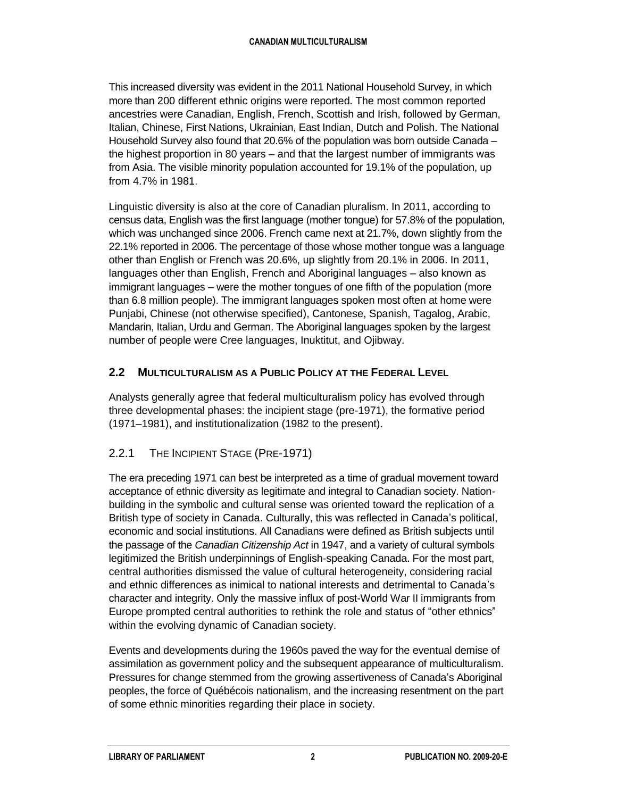This increased diversity was evident in the 2011 National Household Survey, in which more than 200 different ethnic origins were reported. The most common reported ancestries were Canadian, English, French, Scottish and Irish, followed by German, Italian, Chinese, First Nations, Ukrainian, East Indian, Dutch and Polish. The National Household Survey also found that 20.6% of the population was born outside Canada – the highest proportion in 80 years – and that the largest number of immigrants was from Asia. The visible minority population accounted for 19.1% of the population, up from 4.7% in 1981.

Linguistic diversity is also at the core of Canadian pluralism. In 2011, according to census data, English was the first language (mother tongue) for 57.8% of the population, which was unchanged since 2006. French came next at 21.7%, down slightly from the 22.1% reported in 2006. The percentage of those whose mother tongue was a language other than English or French was 20.6%, up slightly from 20.1% in 2006. In 2011, languages other than English, French and Aboriginal languages – also known as immigrant languages – were the mother tongues of one fifth of the population (more than 6.8 million people). The immigrant languages spoken most often at home were Punjabi, Chinese (not otherwise specified), Cantonese, Spanish, Tagalog, Arabic, Mandarin, Italian, Urdu and German. The Aboriginal languages spoken by the largest number of people were Cree languages, Inuktitut, and Ojibway.

#### **2.2 MULTICULTURALISM AS A PUBLIC POLICY AT THE FEDERAL LEVEL**

Analysts generally agree that federal multiculturalism policy has evolved through three developmental phases: the incipient stage (pre-1971), the formative period (1971–1981), and institutionalization (1982 to the present).

#### 2.2.1 THE INCIPIENT STAGE (PRE-1971)

The era preceding 1971 can best be interpreted as a time of gradual movement toward acceptance of ethnic diversity as legitimate and integral to Canadian society. Nationbuilding in the symbolic and cultural sense was oriented toward the replication of a British type of society in Canada. Culturally, this was reflected in Canada's political, economic and social institutions. All Canadians were defined as British subjects until the passage of the *Canadian Citizenship Act* in 1947, and a variety of cultural symbols legitimized the British underpinnings of English-speaking Canada. For the most part, central authorities dismissed the value of cultural heterogeneity, considering racial and ethnic differences as inimical to national interests and detrimental to Canada's character and integrity. Only the massive influx of post-World War II immigrants from Europe prompted central authorities to rethink the role and status of "other ethnics" within the evolving dynamic of Canadian society.

Events and developments during the 1960s paved the way for the eventual demise of assimilation as government policy and the subsequent appearance of multiculturalism. Pressures for change stemmed from the growing assertiveness of Canada's Aboriginal peoples, the force of Québécois nationalism, and the increasing resentment on the part of some ethnic minorities regarding their place in society.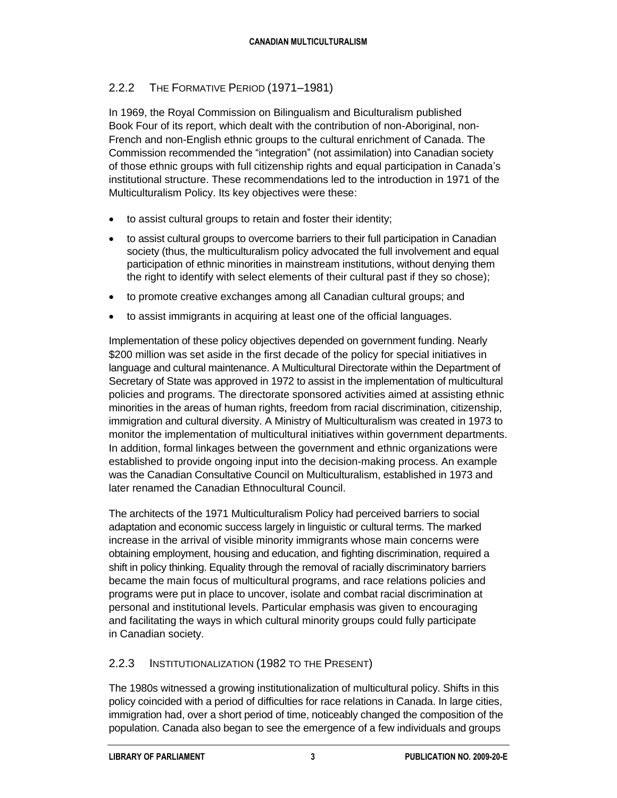#### 2.2.2 THE FORMATIVE PERIOD (1971–1981)

In 1969, the Royal Commission on Bilingualism and Biculturalism published Book Four of its report, which dealt with the contribution of non-Aboriginal, non-French and non-English ethnic groups to the cultural enrichment of Canada. The Commission recommended the "integration" (not assimilation) into Canadian society of those ethnic groups with full citizenship rights and equal participation in Canada's institutional structure. These recommendations led to the introduction in 1971 of the Multiculturalism Policy. Its key objectives were these:

- to assist cultural groups to retain and foster their identity;
- to assist cultural groups to overcome barriers to their full participation in Canadian society (thus, the multiculturalism policy advocated the full involvement and equal participation of ethnic minorities in mainstream institutions, without denying them the right to identify with select elements of their cultural past if they so chose);
- to promote creative exchanges among all Canadian cultural groups; and
- to assist immigrants in acquiring at least one of the official languages.

Implementation of these policy objectives depended on government funding. Nearly \$200 million was set aside in the first decade of the policy for special initiatives in language and cultural maintenance. A Multicultural Directorate within the Department of Secretary of State was approved in 1972 to assist in the implementation of multicultural policies and programs. The directorate sponsored activities aimed at assisting ethnic minorities in the areas of human rights, freedom from racial discrimination, citizenship, immigration and cultural diversity. A Ministry of Multiculturalism was created in 1973 to monitor the implementation of multicultural initiatives within government departments. In addition, formal linkages between the government and ethnic organizations were established to provide ongoing input into the decision-making process. An example was the Canadian Consultative Council on Multiculturalism, established in 1973 and later renamed the Canadian Ethnocultural Council.

The architects of the 1971 Multiculturalism Policy had perceived barriers to social adaptation and economic success largely in linguistic or cultural terms. The marked increase in the arrival of visible minority immigrants whose main concerns were obtaining employment, housing and education, and fighting discrimination, required a shift in policy thinking. Equality through the removal of racially discriminatory barriers became the main focus of multicultural programs, and race relations policies and programs were put in place to uncover, isolate and combat racial discrimination at personal and institutional levels. Particular emphasis was given to encouraging and facilitating the ways in which cultural minority groups could fully participate in Canadian society.

#### 2.2.3 INSTITUTIONALIZATION (1982 TO THE PRESENT)

The 1980s witnessed a growing institutionalization of multicultural policy. Shifts in this policy coincided with a period of difficulties for race relations in Canada. In large cities, immigration had, over a short period of time, noticeably changed the composition of the population. Canada also began to see the emergence of a few individuals and groups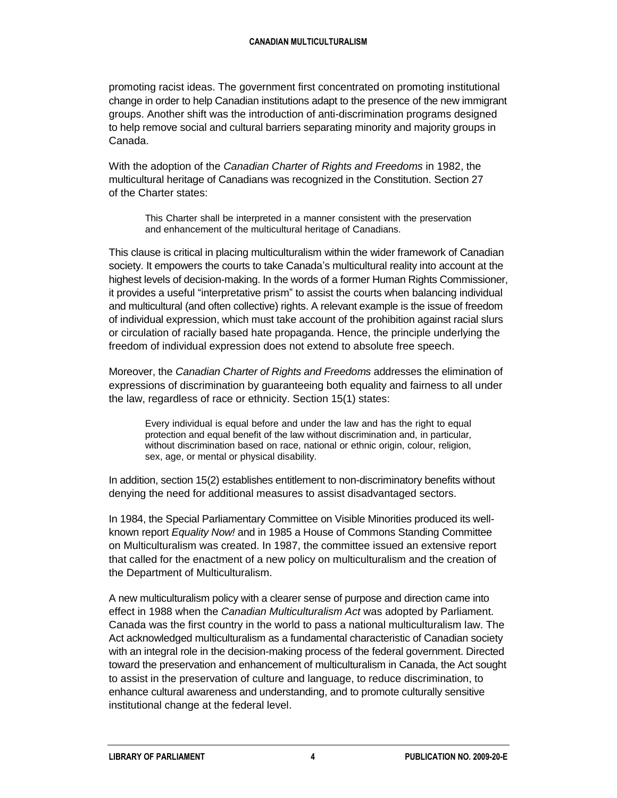promoting racist ideas. The government first concentrated on promoting institutional change in order to help Canadian institutions adapt to the presence of the new immigrant groups. Another shift was the introduction of anti-discrimination programs designed to help remove social and cultural barriers separating minority and majority groups in Canada.

With the adoption of the *Canadian Charter of Rights and Freedoms* in 1982, the multicultural heritage of Canadians was recognized in the Constitution. Section 27 of the Charter states:

This Charter shall be interpreted in a manner consistent with the preservation and enhancement of the multicultural heritage of Canadians.

This clause is critical in placing multiculturalism within the wider framework of Canadian society. It empowers the courts to take Canada's multicultural reality into account at the highest levels of decision-making. In the words of a former Human Rights Commissioner, it provides a useful "interpretative prism" to assist the courts when balancing individual and multicultural (and often collective) rights. A relevant example is the issue of freedom of individual expression, which must take account of the prohibition against racial slurs or circulation of racially based hate propaganda. Hence, the principle underlying the freedom of individual expression does not extend to absolute free speech.

Moreover, the *Canadian Charter of Rights and Freedoms* addresses the elimination of expressions of discrimination by guaranteeing both equality and fairness to all under the law, regardless of race or ethnicity. Section 15(1) states:

Every individual is equal before and under the law and has the right to equal protection and equal benefit of the law without discrimination and, in particular, without discrimination based on race, national or ethnic origin, colour, religion, sex, age, or mental or physical disability.

In addition, section 15(2) establishes entitlement to non-discriminatory benefits without denying the need for additional measures to assist disadvantaged sectors.

In 1984, the Special Parliamentary Committee on Visible Minorities produced its wellknown report *Equality Now!* and in 1985 a House of Commons Standing Committee on Multiculturalism was created. In 1987, the committee issued an extensive report that called for the enactment of a new policy on multiculturalism and the creation of the Department of Multiculturalism.

A new multiculturalism policy with a clearer sense of purpose and direction came into effect in 1988 when the *Canadian Multiculturalism Act* was adopted by Parliament. Canada was the first country in the world to pass a national multiculturalism law. The Act acknowledged multiculturalism as a fundamental characteristic of Canadian society with an integral role in the decision-making process of the federal government. Directed toward the preservation and enhancement of multiculturalism in Canada, the Act sought to assist in the preservation of culture and language, to reduce discrimination, to enhance cultural awareness and understanding, and to promote culturally sensitive institutional change at the federal level.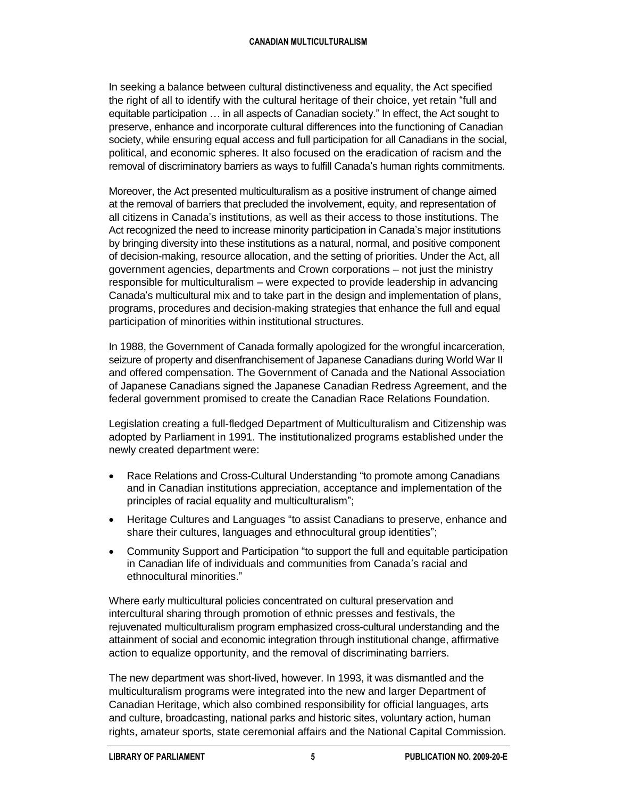In seeking a balance between cultural distinctiveness and equality, the Act specified the right of all to identify with the cultural heritage of their choice, yet retain "full and equitable participation … in all aspects of Canadian society." In effect, the Act sought to preserve, enhance and incorporate cultural differences into the functioning of Canadian society, while ensuring equal access and full participation for all Canadians in the social, political, and economic spheres. It also focused on the eradication of racism and the removal of discriminatory barriers as ways to fulfill Canada's human rights commitments.

Moreover, the Act presented multiculturalism as a positive instrument of change aimed at the removal of barriers that precluded the involvement, equity, and representation of all citizens in Canada's institutions, as well as their access to those institutions. The Act recognized the need to increase minority participation in Canada's major institutions by bringing diversity into these institutions as a natural, normal, and positive component of decision-making, resource allocation, and the setting of priorities. Under the Act, all government agencies, departments and Crown corporations – not just the ministry responsible for multiculturalism – were expected to provide leadership in advancing Canada's multicultural mix and to take part in the design and implementation of plans, programs, procedures and decision-making strategies that enhance the full and equal participation of minorities within institutional structures.

In 1988, the Government of Canada formally apologized for the wrongful incarceration, seizure of property and disenfranchisement of Japanese Canadians during World War II and offered compensation. The Government of Canada and the National Association of Japanese Canadians signed the Japanese Canadian Redress Agreement, and the federal government promised to create the Canadian Race Relations Foundation.

Legislation creating a full-fledged Department of Multiculturalism and Citizenship was adopted by Parliament in 1991. The institutionalized programs established under the newly created department were:

- Race Relations and Cross-Cultural Understanding "to promote among Canadians and in Canadian institutions appreciation, acceptance and implementation of the principles of racial equality and multiculturalism";
- Heritage Cultures and Languages "to assist Canadians to preserve, enhance and share their cultures, languages and ethnocultural group identities";
- Community Support and Participation "to support the full and equitable participation in Canadian life of individuals and communities from Canada's racial and ethnocultural minorities."

Where early multicultural policies concentrated on cultural preservation and intercultural sharing through promotion of ethnic presses and festivals, the rejuvenated multiculturalism program emphasized cross-cultural understanding and the attainment of social and economic integration through institutional change, affirmative action to equalize opportunity, and the removal of discriminating barriers.

The new department was short-lived, however. In 1993, it was dismantled and the multiculturalism programs were integrated into the new and larger Department of Canadian Heritage, which also combined responsibility for official languages, arts and culture, broadcasting, national parks and historic sites, voluntary action, human rights, amateur sports, state ceremonial affairs and the National Capital Commission.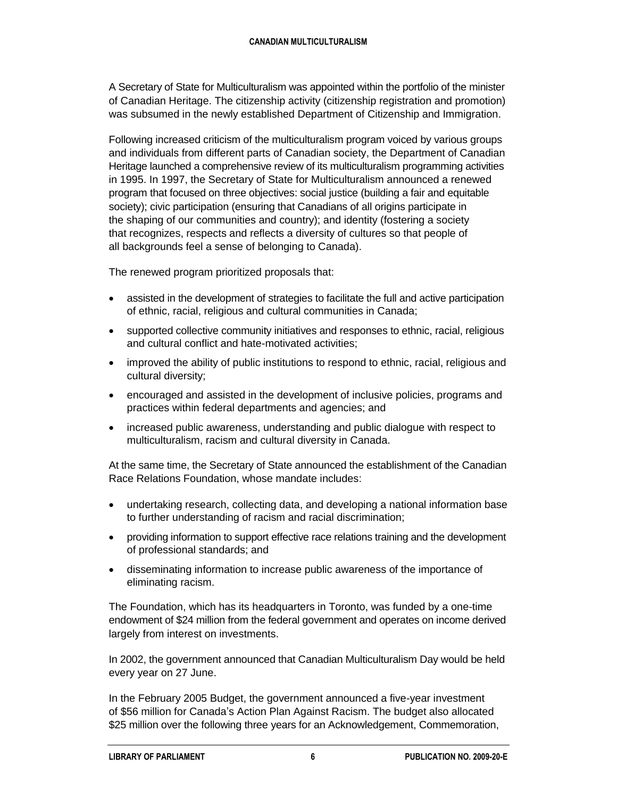A Secretary of State for Multiculturalism was appointed within the portfolio of the minister of Canadian Heritage. The citizenship activity (citizenship registration and promotion) was subsumed in the newly established Department of Citizenship and Immigration.

Following increased criticism of the multiculturalism program voiced by various groups and individuals from different parts of Canadian society, the Department of Canadian Heritage launched a comprehensive review of its multiculturalism programming activities in 1995. In 1997, the Secretary of State for Multiculturalism announced a renewed program that focused on three objectives: social justice (building a fair and equitable society); civic participation (ensuring that Canadians of all origins participate in the shaping of our communities and country); and identity (fostering a society that recognizes, respects and reflects a diversity of cultures so that people of all backgrounds feel a sense of belonging to Canada).

The renewed program prioritized proposals that:

- assisted in the development of strategies to facilitate the full and active participation of ethnic, racial, religious and cultural communities in Canada;
- supported collective community initiatives and responses to ethnic, racial, religious and cultural conflict and hate-motivated activities;
- improved the ability of public institutions to respond to ethnic, racial, religious and cultural diversity;
- encouraged and assisted in the development of inclusive policies, programs and practices within federal departments and agencies; and
- increased public awareness, understanding and public dialogue with respect to multiculturalism, racism and cultural diversity in Canada.

At the same time, the Secretary of State announced the establishment of the Canadian Race Relations Foundation, whose mandate includes:

- undertaking research, collecting data, and developing a national information base to further understanding of racism and racial discrimination;
- providing information to support effective race relations training and the development of professional standards; and
- disseminating information to increase public awareness of the importance of eliminating racism.

The Foundation, which has its headquarters in Toronto, was funded by a one-time endowment of \$24 million from the federal government and operates on income derived largely from interest on investments.

In 2002, the government announced that Canadian Multiculturalism Day would be held every year on 27 June.

In the February 2005 Budget, the government announced a five-year investment of \$56 million for Canada's Action Plan Against Racism. The budget also allocated \$25 million over the following three years for an Acknowledgement, Commemoration,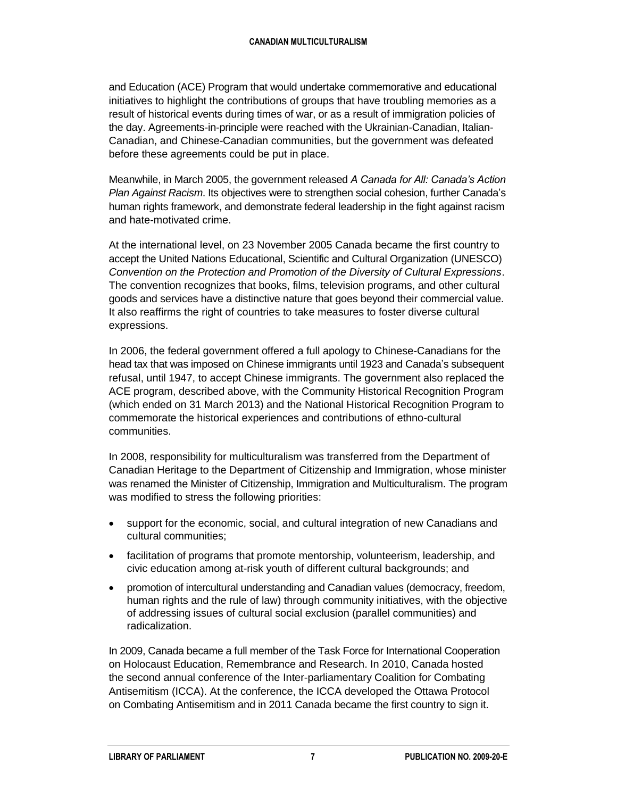and Education (ACE) Program that would undertake commemorative and educational initiatives to highlight the contributions of groups that have troubling memories as a result of historical events during times of war, or as a result of immigration policies of the day. Agreements-in-principle were reached with the Ukrainian-Canadian, Italian-Canadian, and Chinese-Canadian communities, but the government was defeated before these agreements could be put in place.

Meanwhile, in March 2005, the government released *A Canada for All: Canada's Action Plan Against Racism*. Its objectives were to strengthen social cohesion, further Canada's human rights framework, and demonstrate federal leadership in the fight against racism and hate-motivated crime.

At the international level, on 23 November 2005 Canada became the first country to accept the United Nations Educational, Scientific and Cultural Organization (UNESCO) *Convention on the Protection and Promotion of the Diversity of Cultural Expressions*. The convention recognizes that books, films, television programs, and other cultural goods and services have a distinctive nature that goes beyond their commercial value. It also reaffirms the right of countries to take measures to foster diverse cultural expressions.

In 2006, the federal government offered a full apology to Chinese-Canadians for the head tax that was imposed on Chinese immigrants until 1923 and Canada's subsequent refusal, until 1947, to accept Chinese immigrants. The government also replaced the ACE program, described above, with the Community Historical Recognition Program (which ended on 31 March 2013) and the National Historical Recognition Program to commemorate the historical experiences and contributions of ethno-cultural communities.

In 2008, responsibility for multiculturalism was transferred from the Department of Canadian Heritage to the Department of Citizenship and Immigration, whose minister was renamed the Minister of Citizenship, Immigration and Multiculturalism. The program was modified to stress the following priorities:

- support for the economic, social, and cultural integration of new Canadians and cultural communities;
- facilitation of programs that promote mentorship, volunteerism, leadership, and civic education among at-risk youth of different cultural backgrounds; and
- promotion of intercultural understanding and Canadian values (democracy, freedom, human rights and the rule of law) through community initiatives, with the objective of addressing issues of cultural social exclusion (parallel communities) and radicalization.

In 2009, Canada became a full member of the Task Force for International Cooperation on Holocaust Education, Remembrance and Research. In 2010, Canada hosted the second annual conference of the Inter-parliamentary Coalition for Combating Antisemitism (ICCA). At the conference, the ICCA developed the Ottawa Protocol on Combating Antisemitism and in 2011 Canada became the first country to sign it.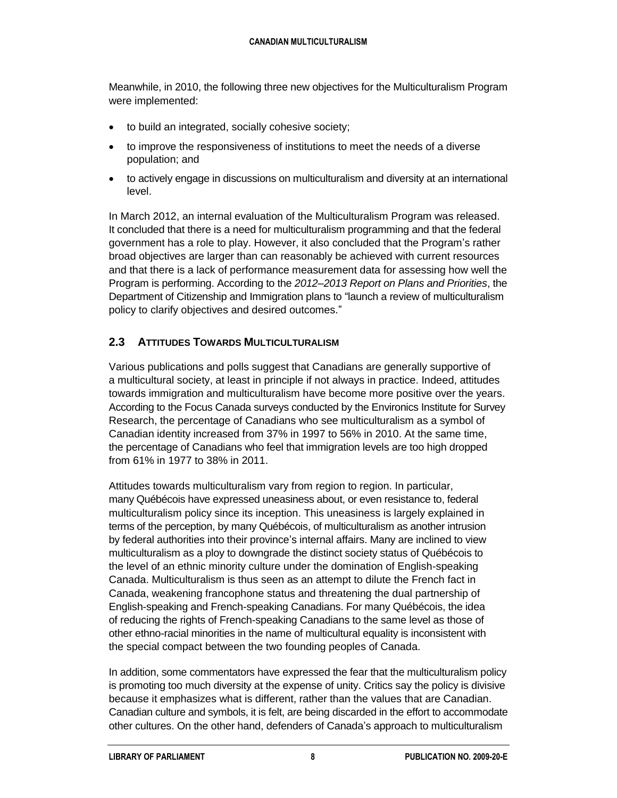Meanwhile, in 2010, the following three new objectives for the Multiculturalism Program were implemented:

- to build an integrated, socially cohesive society;
- to improve the responsiveness of institutions to meet the needs of a diverse population; and
- to actively engage in discussions on multiculturalism and diversity at an international level.

In March 2012, an internal evaluation of the Multiculturalism Program was released. It concluded that there is a need for multiculturalism programming and that the federal government has a role to play. However, it also concluded that the Program's rather broad objectives are larger than can reasonably be achieved with current resources and that there is a lack of performance measurement data for assessing how well the Program is performing. According to the *2012–2013 Report on Plans and Priorities*, the Department of Citizenship and Immigration plans to "launch a review of multiculturalism policy to clarify objectives and desired outcomes."

#### **2.3 ATTITUDES TOWARDS MULTICULTURALISM**

Various publications and polls suggest that Canadians are generally supportive of a multicultural society, at least in principle if not always in practice. Indeed, attitudes towards immigration and multiculturalism have become more positive over the years. According to the Focus Canada surveys conducted by the Environics Institute for Survey Research, the percentage of Canadians who see multiculturalism as a symbol of Canadian identity increased from 37% in 1997 to 56% in 2010. At the same time, the percentage of Canadians who feel that immigration levels are too high dropped from 61% in 1977 to 38% in 2011.

Attitudes towards multiculturalism vary from region to region. In particular, many Québécois have expressed uneasiness about, or even resistance to, federal multiculturalism policy since its inception. This uneasiness is largely explained in terms of the perception, by many Québécois, of multiculturalism as another intrusion by federal authorities into their province's internal affairs. Many are inclined to view multiculturalism as a ploy to downgrade the distinct society status of Québécois to the level of an ethnic minority culture under the domination of English-speaking Canada. Multiculturalism is thus seen as an attempt to dilute the French fact in Canada, weakening francophone status and threatening the dual partnership of English-speaking and French-speaking Canadians. For many Québécois, the idea of reducing the rights of French-speaking Canadians to the same level as those of other ethno-racial minorities in the name of multicultural equality is inconsistent with the special compact between the two founding peoples of Canada.

In addition, some commentators have expressed the fear that the multiculturalism policy is promoting too much diversity at the expense of unity. Critics say the policy is divisive because it emphasizes what is different, rather than the values that are Canadian. Canadian culture and symbols, it is felt, are being discarded in the effort to accommodate other cultures. On the other hand, defenders of Canada's approach to multiculturalism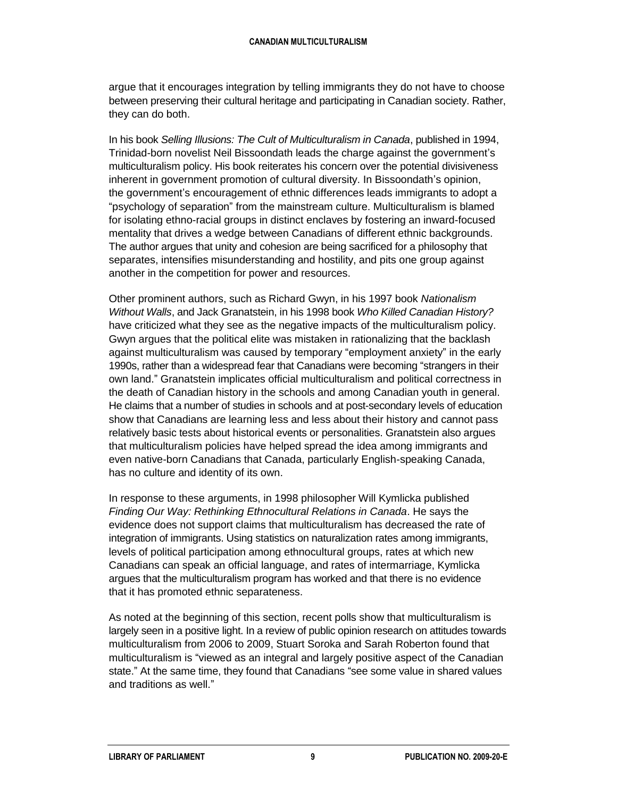argue that it encourages integration by telling immigrants they do not have to choose between preserving their cultural heritage and participating in Canadian society. Rather, they can do both.

In his book *Selling Illusions: The Cult of Multiculturalism in Canada*, published in 1994, Trinidad-born novelist Neil Bissoondath leads the charge against the government's multiculturalism policy. His book reiterates his concern over the potential divisiveness inherent in government promotion of cultural diversity. In Bissoondath's opinion, the government's encouragement of ethnic differences leads immigrants to adopt a "psychology of separation" from the mainstream culture. Multiculturalism is blamed for isolating ethno-racial groups in distinct enclaves by fostering an inward-focused mentality that drives a wedge between Canadians of different ethnic backgrounds. The author argues that unity and cohesion are being sacrificed for a philosophy that separates, intensifies misunderstanding and hostility, and pits one group against another in the competition for power and resources.

Other prominent authors, such as Richard Gwyn, in his 1997 book *Nationalism Without Walls*, and Jack Granatstein, in his 1998 book *Who Killed Canadian History?* have criticized what they see as the negative impacts of the multiculturalism policy. Gwyn argues that the political elite was mistaken in rationalizing that the backlash against multiculturalism was caused by temporary "employment anxiety" in the early 1990s, rather than a widespread fear that Canadians were becoming "strangers in their own land." Granatstein implicates official multiculturalism and political correctness in the death of Canadian history in the schools and among Canadian youth in general. He claims that a number of studies in schools and at post-secondary levels of education show that Canadians are learning less and less about their history and cannot pass relatively basic tests about historical events or personalities. Granatstein also argues that multiculturalism policies have helped spread the idea among immigrants and even native-born Canadians that Canada, particularly English-speaking Canada, has no culture and identity of its own.

In response to these arguments, in 1998 philosopher Will Kymlicka published *Finding Our Way: Rethinking Ethnocultural Relations in Canada*. He says the evidence does not support claims that multiculturalism has decreased the rate of integration of immigrants. Using statistics on naturalization rates among immigrants, levels of political participation among ethnocultural groups, rates at which new Canadians can speak an official language, and rates of intermarriage, Kymlicka argues that the multiculturalism program has worked and that there is no evidence that it has promoted ethnic separateness.

As noted at the beginning of this section, recent polls show that multiculturalism is largely seen in a positive light. In a review of public opinion research on attitudes towards multiculturalism from 2006 to 2009, Stuart Soroka and Sarah Roberton found that multiculturalism is "viewed as an integral and largely positive aspect of the Canadian state." At the same time, they found that Canadians "see some value in shared values and traditions as well."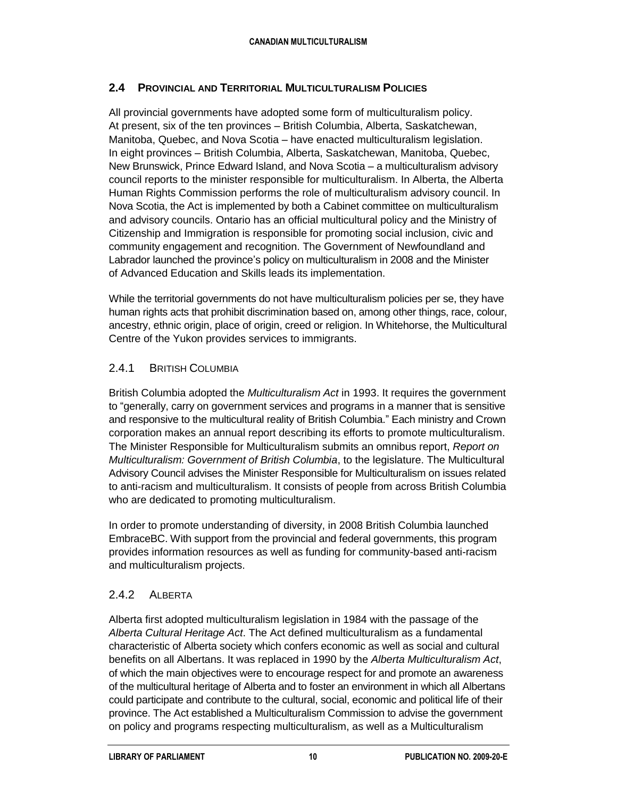#### **2.4 PROVINCIAL AND TERRITORIAL MULTICULTURALISM POLICIES**

All provincial governments have adopted some form of multiculturalism policy. At present, six of the ten provinces – British Columbia, Alberta, Saskatchewan, Manitoba, Quebec, and Nova Scotia – have enacted multiculturalism legislation. In eight provinces – British Columbia, Alberta, Saskatchewan, Manitoba, Quebec, New Brunswick, Prince Edward Island, and Nova Scotia – a multiculturalism advisory council reports to the minister responsible for multiculturalism. In Alberta, the Alberta Human Rights Commission performs the role of multiculturalism advisory council. In Nova Scotia, the Act is implemented by both a Cabinet committee on multiculturalism and advisory councils. Ontario has an official multicultural policy and the Ministry of Citizenship and Immigration is responsible for promoting social inclusion, civic and community engagement and recognition. The Government of Newfoundland and Labrador launched the province's policy on multiculturalism in 2008 and the Minister of Advanced Education and Skills leads its implementation.

While the territorial governments do not have multiculturalism policies per se, they have human rights acts that prohibit discrimination based on, among other things, race, colour, ancestry, ethnic origin, place of origin, creed or religion. In Whitehorse, the Multicultural Centre of the Yukon provides services to immigrants.

#### 2.4.1 BRITISH COLUMBIA

British Columbia adopted the *Multiculturalism Act* in 1993. It requires the government to "generally, carry on government services and programs in a manner that is sensitive and responsive to the multicultural reality of British Columbia." Each ministry and Crown corporation makes an annual report describing its efforts to promote multiculturalism. The Minister Responsible for Multiculturalism submits an omnibus report, *Report on Multiculturalism: Government of British Columbia*, to the legislature. The Multicultural Advisory Council advises the Minister Responsible for Multiculturalism on issues related to anti-racism and multiculturalism. It consists of people from across British Columbia who are dedicated to promoting multiculturalism.

In order to promote understanding of diversity, in 2008 British Columbia launched EmbraceBC. With support from the provincial and federal governments, this program provides information resources as well as funding for community-based anti-racism and multiculturalism projects.

#### 2.4.2 ALBERTA

Alberta first adopted multiculturalism legislation in 1984 with the passage of the *Alberta Cultural Heritage Act*. The Act defined multiculturalism as a fundamental characteristic of Alberta society which confers economic as well as social and cultural benefits on all Albertans. It was replaced in 1990 by the *Alberta Multiculturalism Act*, of which the main objectives were to encourage respect for and promote an awareness of the multicultural heritage of Alberta and to foster an environment in which all Albertans could participate and contribute to the cultural, social, economic and political life of their province. The Act established a Multiculturalism Commission to advise the government on policy and programs respecting multiculturalism, as well as a Multiculturalism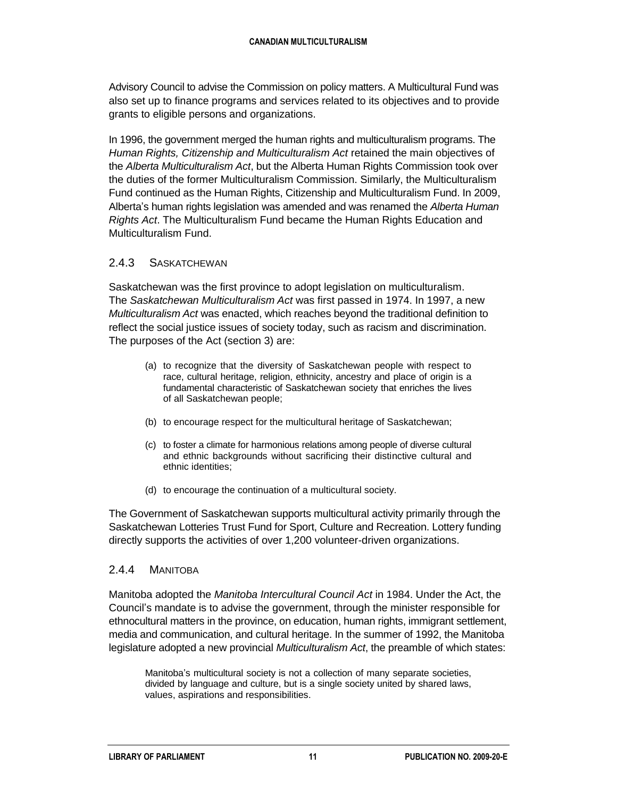Advisory Council to advise the Commission on policy matters. A Multicultural Fund was also set up to finance programs and services related to its objectives and to provide grants to eligible persons and organizations.

In 1996, the government merged the human rights and multiculturalism programs. The *Human Rights, Citizenship and Multiculturalism Act* retained the main objectives of the *Alberta Multiculturalism Act*, but the Alberta Human Rights Commission took over the duties of the former Multiculturalism Commission. Similarly, the Multiculturalism Fund continued as the Human Rights, Citizenship and Multiculturalism Fund. In 2009, Alberta's human rights legislation was amended and was renamed the *Alberta Human Rights Act*. The Multiculturalism Fund became the Human Rights Education and Multiculturalism Fund.

#### 2.4.3 SASKATCHEWAN

Saskatchewan was the first province to adopt legislation on multiculturalism. The *Saskatchewan Multiculturalism Act* was first passed in 1974. In 1997, a new *Multiculturalism Act* was enacted, which reaches beyond the traditional definition to reflect the social justice issues of society today, such as racism and discrimination. The purposes of the Act (section 3) are:

- (a) to recognize that the diversity of Saskatchewan people with respect to race, cultural heritage, religion, ethnicity, ancestry and place of origin is a fundamental characteristic of Saskatchewan society that enriches the lives of all Saskatchewan people;
- (b) to encourage respect for the multicultural heritage of Saskatchewan;
- (c) to foster a climate for harmonious relations among people of diverse cultural and ethnic backgrounds without sacrificing their distinctive cultural and ethnic identities;
- (d) to encourage the continuation of a multicultural society.

The Government of Saskatchewan supports multicultural activity primarily through the Saskatchewan Lotteries Trust Fund for Sport, Culture and Recreation. Lottery funding directly supports the activities of over 1,200 volunteer-driven organizations.

#### 2.4.4 MANITOBA

Manitoba adopted the *Manitoba Intercultural Council Act* in 1984. Under the Act, the Council's mandate is to advise the government, through the minister responsible for ethnocultural matters in the province, on education, human rights, immigrant settlement, media and communication, and cultural heritage. In the summer of 1992, the Manitoba legislature adopted a new provincial *Multiculturalism Act*, the preamble of which states:

Manitoba's multicultural society is not a collection of many separate societies, divided by language and culture, but is a single society united by shared laws, values, aspirations and responsibilities.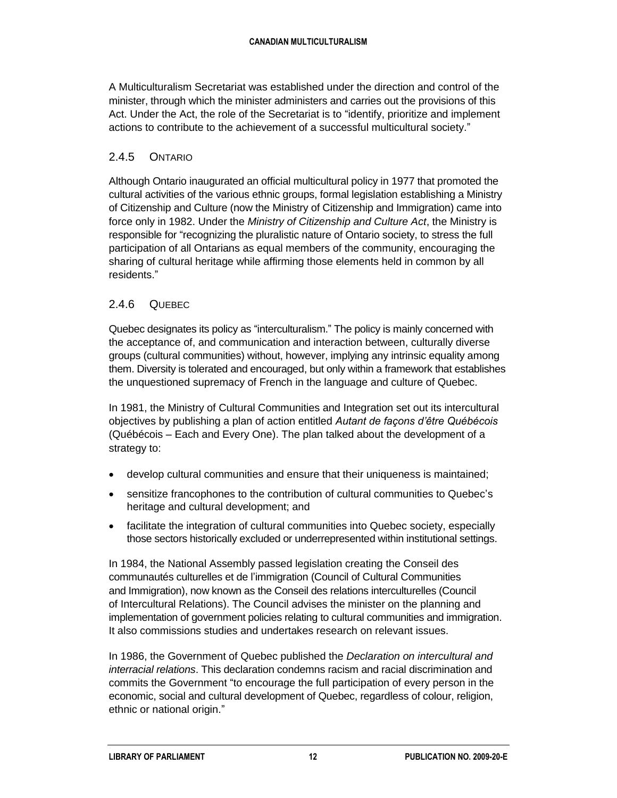A Multiculturalism Secretariat was established under the direction and control of the minister, through which the minister administers and carries out the provisions of this Act. Under the Act, the role of the Secretariat is to "identify, prioritize and implement actions to contribute to the achievement of a successful multicultural society."

#### 2.4.5 ONTARIO

Although Ontario inaugurated an official multicultural policy in 1977 that promoted the cultural activities of the various ethnic groups, formal legislation establishing a Ministry of Citizenship and Culture (now the Ministry of Citizenship and Immigration) came into force only in 1982. Under the *Ministry of Citizenship and Culture Act*, the Ministry is responsible for "recognizing the pluralistic nature of Ontario society, to stress the full participation of all Ontarians as equal members of the community, encouraging the sharing of cultural heritage while affirming those elements held in common by all residents."

#### 2.4.6 QUEBEC

Quebec designates its policy as "interculturalism." The policy is mainly concerned with the acceptance of, and communication and interaction between, culturally diverse groups (cultural communities) without, however, implying any intrinsic equality among them. Diversity is tolerated and encouraged, but only within a framework that establishes the unquestioned supremacy of French in the language and culture of Quebec.

In 1981, the Ministry of Cultural Communities and Integration set out its intercultural objectives by publishing a plan of action entitled *Autant de façons d'être Québécois* (Québécois – Each and Every One). The plan talked about the development of a strategy to:

- develop cultural communities and ensure that their uniqueness is maintained;
- sensitize francophones to the contribution of cultural communities to Quebec's heritage and cultural development; and
- facilitate the integration of cultural communities into Quebec society, especially those sectors historically excluded or underrepresented within institutional settings.

In 1984, the National Assembly passed legislation creating the Conseil des communautés culturelles et de l'immigration (Council of Cultural Communities and Immigration), now known as the Conseil des relations interculturelles (Council of Intercultural Relations). The Council advises the minister on the planning and implementation of government policies relating to cultural communities and immigration. It also commissions studies and undertakes research on relevant issues.

In 1986, the Government of Quebec published the *Declaration on intercultural and interracial relations*. This declaration condemns racism and racial discrimination and commits the Government "to encourage the full participation of every person in the economic, social and cultural development of Quebec, regardless of colour, religion, ethnic or national origin."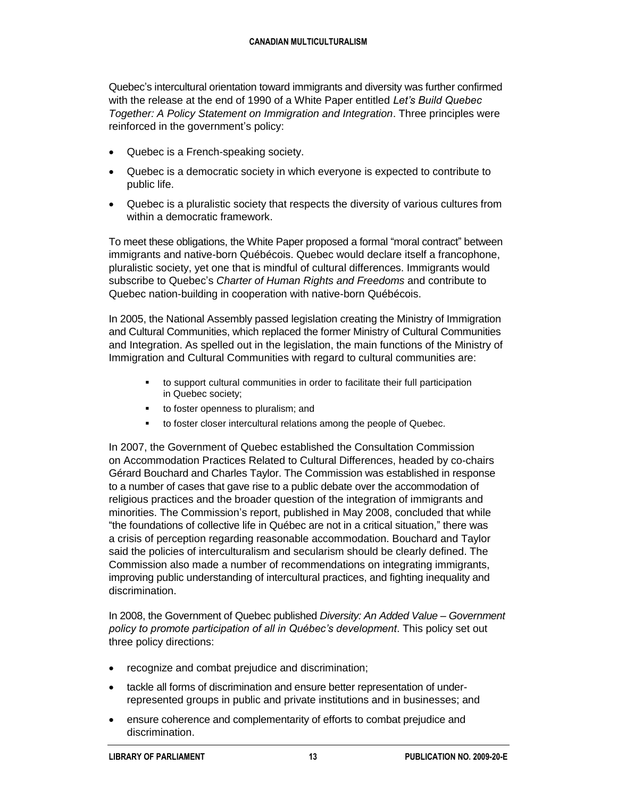Quebec's intercultural orientation toward immigrants and diversity was further confirmed with the release at the end of 1990 of a White Paper entitled *Let's Build Quebec Together: A Policy Statement on Immigration and Integration*. Three principles were reinforced in the government's policy:

- Quebec is a French-speaking society.
- Quebec is a democratic society in which everyone is expected to contribute to public life.
- Quebec is a pluralistic society that respects the diversity of various cultures from within a democratic framework.

To meet these obligations, the White Paper proposed a formal "moral contract" between immigrants and native-born Québécois. Quebec would declare itself a francophone, pluralistic society, yet one that is mindful of cultural differences. Immigrants would subscribe to Quebec's *Charter of Human Rights and Freedoms* and contribute to Quebec nation-building in cooperation with native-born Québécois.

In 2005, the National Assembly passed legislation creating the Ministry of Immigration and Cultural Communities, which replaced the former Ministry of Cultural Communities and Integration. As spelled out in the legislation, the main functions of the Ministry of Immigration and Cultural Communities with regard to cultural communities are:

- to support cultural communities in order to facilitate their full participation in Quebec society;
- to foster openness to pluralism; and
- to foster closer intercultural relations among the people of Quebec.

In 2007, the Government of Quebec established the Consultation Commission on Accommodation Practices Related to Cultural Differences, headed by co-chairs Gérard Bouchard and Charles Taylor. The Commission was established in response to a number of cases that gave rise to a public debate over the accommodation of religious practices and the broader question of the integration of immigrants and minorities. The Commission's report, published in May 2008, concluded that while "the foundations of collective life in Québec are not in a critical situation," there was a crisis of perception regarding reasonable accommodation. Bouchard and Taylor said the policies of interculturalism and secularism should be clearly defined. The Commission also made a number of recommendations on integrating immigrants, improving public understanding of intercultural practices, and fighting inequality and discrimination.

In 2008, the Government of Quebec published *Diversity: An Added Value – Government policy to promote participation of all in Québec's development*. This policy set out three policy directions:

- recognize and combat prejudice and discrimination;
- tackle all forms of discrimination and ensure better representation of underrepresented groups in public and private institutions and in businesses; and
- ensure coherence and complementarity of efforts to combat prejudice and discrimination.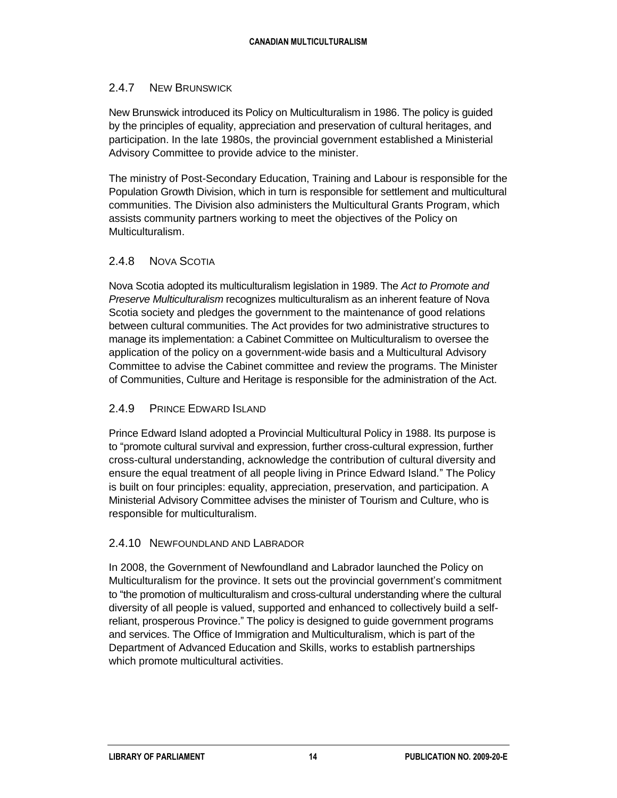#### 2.4.7 NEW BRUNSWICK

New Brunswick introduced its Policy on Multiculturalism in 1986. The policy is guided by the principles of equality, appreciation and preservation of cultural heritages, and participation. In the late 1980s, the provincial government established a Ministerial Advisory Committee to provide advice to the minister.

The ministry of Post-Secondary Education, Training and Labour is responsible for the Population Growth Division, which in turn is responsible for settlement and multicultural communities. The Division also administers the Multicultural Grants Program, which assists community partners working to meet the objectives of the Policy on Multiculturalism.

#### 2.4.8 NOVA SCOTIA

Nova Scotia adopted its multiculturalism legislation in 1989. The *Act to Promote and Preserve Multiculturalism* recognizes multiculturalism as an inherent feature of Nova Scotia society and pledges the government to the maintenance of good relations between cultural communities. The Act provides for two administrative structures to manage its implementation: a Cabinet Committee on Multiculturalism to oversee the application of the policy on a government-wide basis and a Multicultural Advisory Committee to advise the Cabinet committee and review the programs. The Minister of Communities, Culture and Heritage is responsible for the administration of the Act.

#### 2.4.9 PRINCE EDWARD ISLAND

Prince Edward Island adopted a Provincial Multicultural Policy in 1988. Its purpose is to "promote cultural survival and expression, further cross-cultural expression, further cross-cultural understanding, acknowledge the contribution of cultural diversity and ensure the equal treatment of all people living in Prince Edward Island." The Policy is built on four principles: equality, appreciation, preservation, and participation. A Ministerial Advisory Committee advises the minister of Tourism and Culture, who is responsible for multiculturalism.

#### 2.4.10 NEWFOUNDLAND AND LABRADOR

In 2008, the Government of Newfoundland and Labrador launched the Policy on Multiculturalism for the province. It sets out the provincial government's commitment to "the promotion of multiculturalism and cross-cultural understanding where the cultural diversity of all people is valued, supported and enhanced to collectively build a selfreliant, prosperous Province." The policy is designed to guide government programs and services. The Office of Immigration and Multiculturalism, which is part of the Department of Advanced Education and Skills, works to establish partnerships which promote multicultural activities.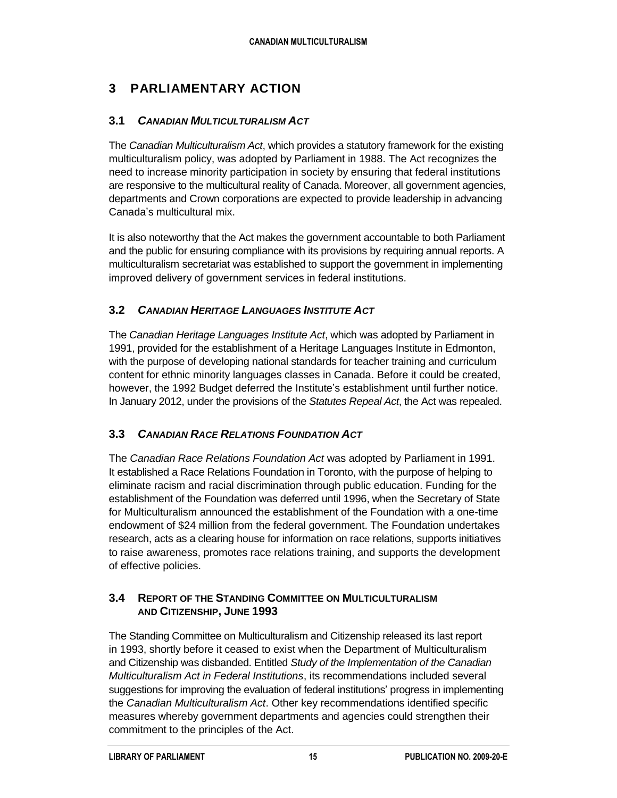### **3 PARLIAMENTARY ACTION**

#### **3.1** *CANADIAN MULTICULTURALISM ACT*

The *Canadian Multiculturalism Act*, which provides a statutory framework for the existing multiculturalism policy, was adopted by Parliament in 1988. The Act recognizes the need to increase minority participation in society by ensuring that federal institutions are responsive to the multicultural reality of Canada. Moreover, all government agencies, departments and Crown corporations are expected to provide leadership in advancing Canada's multicultural mix.

It is also noteworthy that the Act makes the government accountable to both Parliament and the public for ensuring compliance with its provisions by requiring annual reports. A multiculturalism secretariat was established to support the government in implementing improved delivery of government services in federal institutions.

### **3.2** *CANADIAN HERITAGE LANGUAGES INSTITUTE ACT*

The *Canadian Heritage Languages Institute Act*, which was adopted by Parliament in 1991, provided for the establishment of a Heritage Languages Institute in Edmonton, with the purpose of developing national standards for teacher training and curriculum content for ethnic minority languages classes in Canada. Before it could be created, however, the 1992 Budget deferred the Institute's establishment until further notice. In January 2012, under the provisions of the *Statutes Repeal Act*, the Act was repealed.

#### **3.3** *CANADIAN RACE RELATIONS FOUNDATION ACT*

The *Canadian Race Relations Foundation Act* was adopted by Parliament in 1991. It established a Race Relations Foundation in Toronto, with the purpose of helping to eliminate racism and racial discrimination through public education. Funding for the establishment of the Foundation was deferred until 1996, when the Secretary of State for Multiculturalism announced the establishment of the Foundation with a one-time endowment of \$24 million from the federal government. The Foundation undertakes research, acts as a clearing house for information on race relations, supports initiatives to raise awareness, promotes race relations training, and supports the development of effective policies.

#### **3.4 REPORT OF THE STANDING COMMITTEE ON MULTICULTURALISM AND CITIZENSHIP, JUNE 1993**

The Standing Committee on Multiculturalism and Citizenship released its last report in 1993, shortly before it ceased to exist when the Department of Multiculturalism and Citizenship was disbanded. Entitled *Study of the Implementation of the Canadian Multiculturalism Act in Federal Institutions*, its recommendations included several suggestions for improving the evaluation of federal institutions' progress in implementing the *Canadian Multiculturalism Act*. Other key recommendations identified specific measures whereby government departments and agencies could strengthen their commitment to the principles of the Act.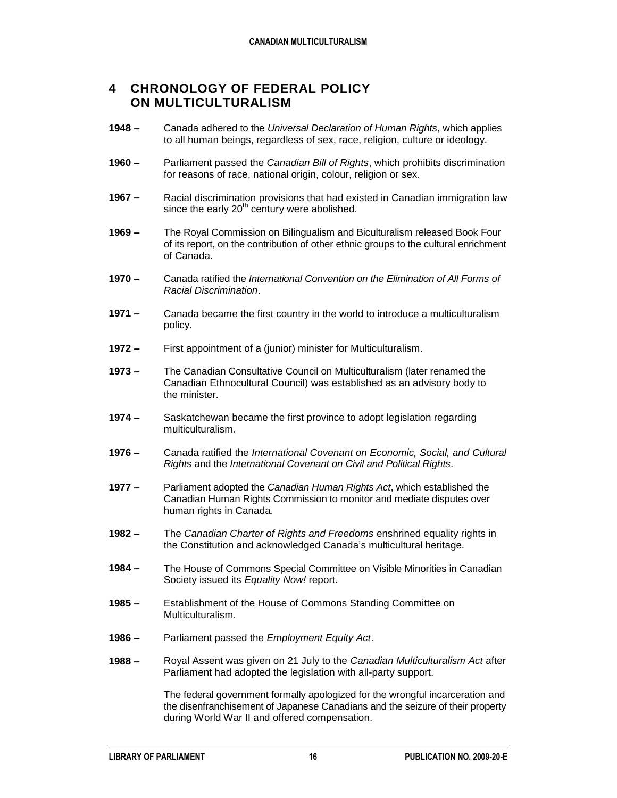#### **4 CHRONOLOGY OF FEDERAL POLICY ON MULTICULTURALISM**

- **1948 –** Canada adhered to the *Universal Declaration of Human Rights*, which applies to all human beings, regardless of sex, race, religion, culture or ideology.
- **1960 –** Parliament passed the *Canadian Bill of Rights*, which prohibits discrimination for reasons of race, national origin, colour, religion or sex.
- **1967 –** Racial discrimination provisions that had existed in Canadian immigration law since the early  $20<sup>th</sup>$  century were abolished.
- **1969 –** The Royal Commission on Bilingualism and Biculturalism released Book Four of its report, on the contribution of other ethnic groups to the cultural enrichment of Canada.
- **1970 –** Canada ratified the *International Convention on the Elimination of All Forms of Racial Discrimination*.
- **1971 –** Canada became the first country in the world to introduce a multiculturalism policy.
- **1972 –** First appointment of a (junior) minister for Multiculturalism.
- **1973 –** The Canadian Consultative Council on Multiculturalism (later renamed the Canadian Ethnocultural Council) was established as an advisory body to the minister.
- **1974 –** Saskatchewan became the first province to adopt legislation regarding multiculturalism.
- **1976 –** Canada ratified the *International Covenant on Economic, Social, and Cultural Rights* and the *International Covenant on Civil and Political Rights*.
- **1977 –** Parliament adopted the *Canadian Human Rights Act*, which established the Canadian Human Rights Commission to monitor and mediate disputes over human rights in Canada.
- **1982 –** The *Canadian Charter of Rights and Freedoms* enshrined equality rights in the Constitution and acknowledged Canada's multicultural heritage.
- **1984 –** The House of Commons Special Committee on Visible Minorities in Canadian Society issued its *Equality Now!* report.
- **1985 –** Establishment of the House of Commons Standing Committee on Multiculturalism.
- **1986 –** Parliament passed the *Employment Equity Act*.
- **1988 –** Royal Assent was given on 21 July to the *Canadian Multiculturalism Act* after Parliament had adopted the legislation with all-party support.

The federal government formally apologized for the wrongful incarceration and the disenfranchisement of Japanese Canadians and the seizure of their property during World War II and offered compensation.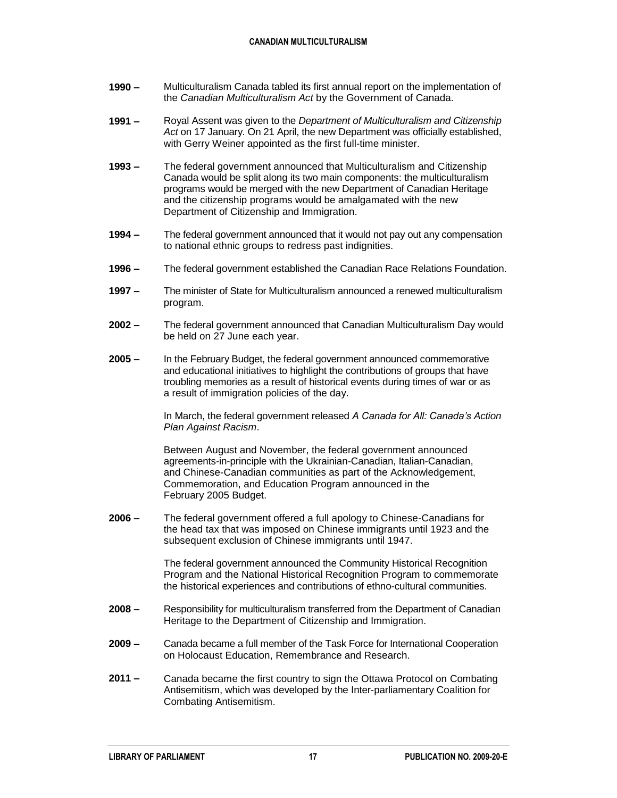#### **CANADIAN MULTICULTURALISM**

- **1990 –** Multiculturalism Canada tabled its first annual report on the implementation of the *Canadian Multiculturalism Act* by the Government of Canada.
- **1991 –** Royal Assent was given to the *Department of Multiculturalism and Citizenship Act* on 17 January. On 21 April, the new Department was officially established, with Gerry Weiner appointed as the first full-time minister.
- **1993 –** The federal government announced that Multiculturalism and Citizenship Canada would be split along its two main components: the multiculturalism programs would be merged with the new Department of Canadian Heritage and the citizenship programs would be amalgamated with the new Department of Citizenship and Immigration.
- **1994 –** The federal government announced that it would not pay out any compensation to national ethnic groups to redress past indignities.
- **1996 –** The federal government established the Canadian Race Relations Foundation.
- **1997 –** The minister of State for Multiculturalism announced a renewed multiculturalism program.
- **2002 –** The federal government announced that Canadian Multiculturalism Day would be held on 27 June each year.
- **2005 –** In the February Budget, the federal government announced commemorative and educational initiatives to highlight the contributions of groups that have troubling memories as a result of historical events during times of war or as a result of immigration policies of the day.

In March, the federal government released *A Canada for All: Canada's Action Plan Against Racism*.

Between August and November, the federal government announced agreements-in-principle with the Ukrainian-Canadian, Italian-Canadian, and Chinese-Canadian communities as part of the Acknowledgement, Commemoration, and Education Program announced in the February 2005 Budget.

**2006 –** The federal government offered a full apology to Chinese-Canadians for the head tax that was imposed on Chinese immigrants until 1923 and the subsequent exclusion of Chinese immigrants until 1947.

> The federal government announced the Community Historical Recognition Program and the National Historical Recognition Program to commemorate the historical experiences and contributions of ethno-cultural communities.

- **2008 –** Responsibility for multiculturalism transferred from the Department of Canadian Heritage to the Department of Citizenship and Immigration.
- **2009 –** Canada became a full member of the Task Force for International Cooperation on Holocaust Education, Remembrance and Research.
- **2011 –** Canada became the first country to sign the Ottawa Protocol on Combating Antisemitism, which was developed by the Inter-parliamentary Coalition for Combating Antisemitism.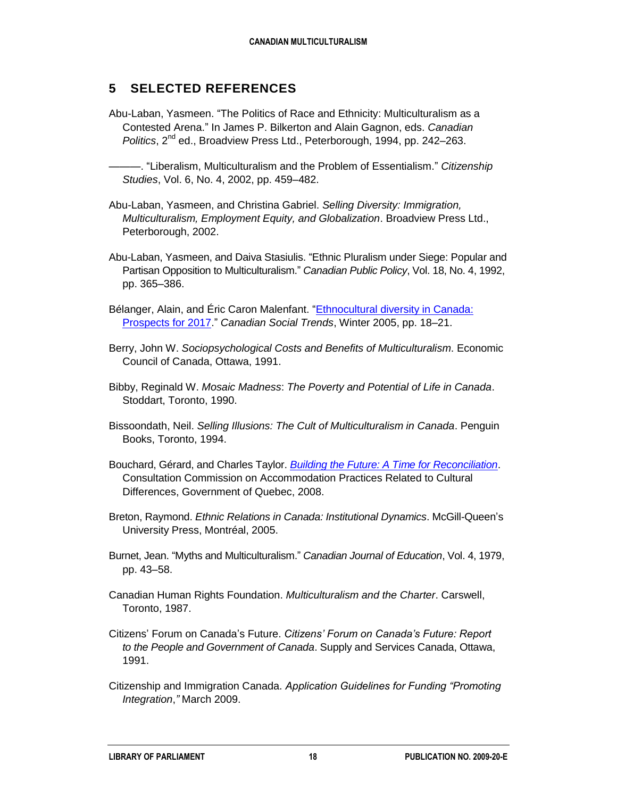### **5 SELECTED REFERENCES**

- Abu-Laban, Yasmeen. "The Politics of Race and Ethnicity: Multiculturalism as a Contested Arena." In James P. Bilkerton and Alain Gagnon, eds. *Canadian Politics*, 2<sup>nd</sup> ed., Broadview Press Ltd., Peterborough, 1994, pp. 242–263.
	- ———. "Liberalism, Multiculturalism and the Problem of Essentialism." *Citizenship Studies*, Vol. 6, No. 4, 2002, pp. 459–482.
- Abu-Laban, Yasmeen, and Christina Gabriel. *Selling Diversity: Immigration, Multiculturalism, Employment Equity, and Globalization*. Broadview Press Ltd., Peterborough, 2002.
- Abu-Laban, Yasmeen, and Daiva Stasiulis. "Ethnic Pluralism under Siege: Popular and Partisan Opposition to Multiculturalism." *Canadian Public Policy*, Vol. 18, No. 4, 1992, pp. 365–386.
- Bélanger, Alain, and Éric Caron Malenfant. "Ethnocultural diversity in Canada: [Prospects for 2017.](http://www5.statcan.gc.ca/bsolc/olc-cel/olc-cel?lang=eng&catno=11-008-X20050038968)" *Canadian Social Trends*, Winter 2005, pp. 18–21.
- Berry, John W. *Sociopsychological Costs and Benefits of Multiculturalism*. Economic Council of Canada, Ottawa, 1991.
- Bibby, Reginald W. *Mosaic Madness*: *The Poverty and Potential of Life in Canada*. Stoddart, Toronto, 1990.
- Bissoondath, Neil. *Selling Illusions: The Cult of Multiculturalism in Canada*. Penguin Books, Toronto, 1994.
- Bouchard, Gérard, and Charles Taylor. *[Building the Future: A Time for Reconciliation](http://collections.banq.qc.ca/ark:/52327/bs1565996)*. Consultation Commission on Accommodation Practices Related to Cultural Differences, Government of Quebec, 2008.
- Breton, Raymond. *Ethnic Relations in Canada: Institutional Dynamics*. McGill-Queen's University Press, Montréal, 2005.
- Burnet, Jean. "Myths and Multiculturalism." *Canadian Journal of Education*, Vol. 4, 1979, pp. 43–58.
- Canadian Human Rights Foundation. *Multiculturalism and the Charter*. Carswell, Toronto, 1987.
- Citizens' Forum on Canada's Future. *Citizens' Forum on Canada's Future: Report to the People and Government of Canada*. Supply and Services Canada, Ottawa, 1991.
- Citizenship and Immigration Canada. *Application Guidelines for Funding "Promoting Integration*,*"* March 2009.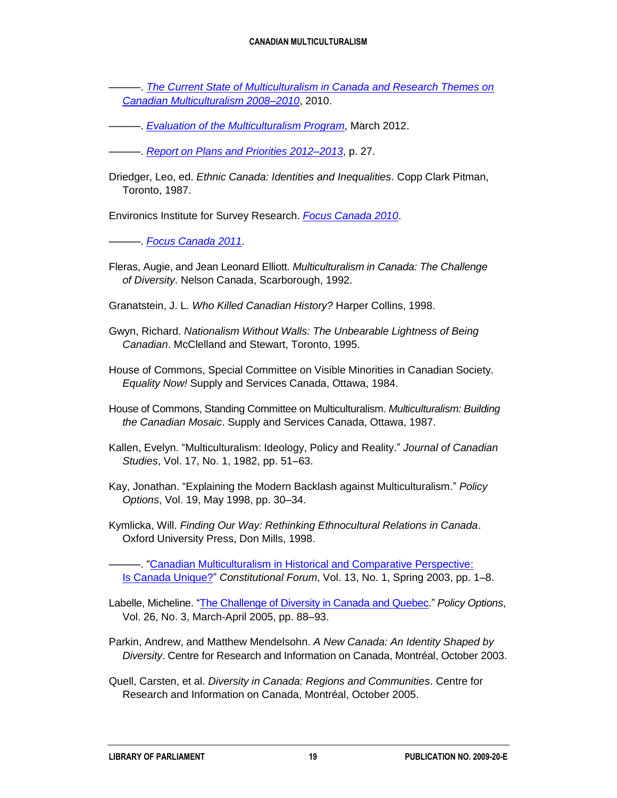#### **CANADIAN MULTICULTURALISM**

———. *[The Current State of Multiculturalism in Canada and Research Themes on](http://www.cic.gc.ca/english/pdf/pub/multi-state.pdf)  [Canadian Multiculturalism 2008–2010](http://www.cic.gc.ca/english/pdf/pub/multi-state.pdf)*, 2010.

———. *[Evaluation of the Multiculturalism Program](http://www.cic.gc.ca/english/pdf/research-stats/multiculturalism.pdf)*, March 2012.

———. *[Report on Plans and Priorities 2012–2013](http://www.tbs-sct.gc.ca/rpp/2012-2013/inst/imc/imc-eng.pdf)*, p. 27.

Driedger, Leo, ed. *Ethnic Canada: Identities and Inequalities*. Copp Clark Pitman, Toronto, 1987.

Environics Institute for Survey Research. *[Focus Canada 2010](http://www.environicsinstitute.org/uploads/institute-projects/pdf-focuscanada2010.pdf)*.

———. *[Focus Canada 2011](http://www.environicsinstitute.org/uploads/institute-projects/pdf-focuscanada-2011-final.pdf)*.

Fleras, Augie, and Jean Leonard Elliott. *Multiculturalism in Canada: The Challenge of Diversity*. Nelson Canada, Scarborough, 1992.

Granatstein, J. L. *Who Killed Canadian History?* Harper Collins, 1998.

- Gwyn, Richard. *Nationalism Without Walls: The Unbearable Lightness of Being Canadian*. McClelland and Stewart, Toronto, 1995.
- House of Commons, Special Committee on Visible Minorities in Canadian Society. *Equality Now!* Supply and Services Canada, Ottawa, 1984.
- House of Commons, Standing Committee on Multiculturalism. *Multiculturalism: Building the Canadian Mosaic*. Supply and Services Canada, Ottawa, 1987.
- Kallen, Evelyn. "Multiculturalism: Ideology, Policy and Reality." *Journal of Canadian Studies*, Vol. 17, No. 1, 1982, pp. 51–63.
- Kay, Jonathan. "Explaining the Modern Backlash against Multiculturalism." *Policy Options*, Vol. 19, May 1998, pp. 30–34.

Kymlicka, Will. *Finding Our Way: Rethinking Ethnocultural Relations in Canada*. Oxford University Press, Don Mills, 1998.

- "Canadian Multiculturalism in Historical and Comparative Perspective: Is [Canada Unique?"](http://heinonline.org/HOL/Page?handle=hein.journals/consfo13&div=4&g_sent=1&collection=journals) *Constitutional Forum*, Vol. 13, No. 1, Spring 2003, pp. 1–8.

- Labelle, Micheline. ["The Challenge of Diversity in Canada and Quebec.](http://www.irpp.org/po/archive/mar05en/labelle.pdf)" *Policy Options*, Vol. 26, No. 3, March-April 2005, pp. 88–93.
- Parkin, Andrew, and Matthew Mendelsohn. *A New Canada: An Identity Shaped by Diversity*. Centre for Research and Information on Canada, Montréal, October 2003.
- Quell, Carsten, et al. *Diversity in Canada: Regions and Communities*. Centre for Research and Information on Canada, Montréal, October 2005.